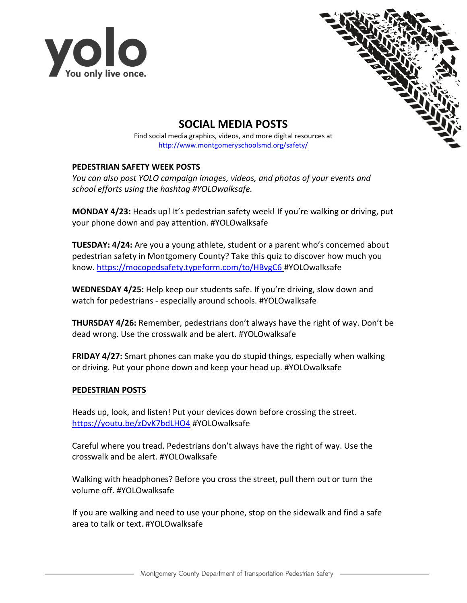



## **SOCIAL MEDIA POSTS**

Find social media graphics, videos, and more digital resources at <http://www.montgomeryschoolsmd.org/safety/>

## **PEDESTRIAN SAFETY WEEK POSTS**

*You can also post YOLO campaign images, videos, and photos of your events and school efforts using the hashtag #YOLOwalksafe.*

**MONDAY 4/23:** Heads up! It's pedestrian safety week! If you're walking or driving, put your phone down and pay attention. #YOLOwalksafe

**TUESDAY: 4/24:** Are you a young athlete, student or a parent who's concerned about pedestrian safety in Montgomery County? Take this quiz to discover how much you know.<https://mocopedsafety.typeform.com/to/HBvgC6> #YOLOwalksafe

**WEDNESDAY 4/25:** Help keep our students safe. If you're driving, slow down and watch for pedestrians - especially around schools. #YOLOwalksafe

**THURSDAY 4/26:** Remember, pedestrians don't always have the right of way. Don't be dead wrong. Use the crosswalk and be alert. #YOLOwalksafe

**FRIDAY 4/27:** Smart phones can make you do stupid things, especially when walking or driving. Put your phone down and keep your head up. #YOLOwalksafe

## **PEDESTRIAN POSTS**

Heads up, look, and listen! Put your devices down before crossing the street. <https://youtu.be/zDvK7bdLHO4> #YOLOwalksafe

Careful where you tread. Pedestrians don't always have the right of way. Use the crosswalk and be alert. #YOLOwalksafe

Walking with headphones? Before you cross the street, pull them out or turn the volume off. #YOLOwalksafe

If you are walking and need to use your phone, stop on the sidewalk and find a safe area to talk or text. #YOLOwalksafe